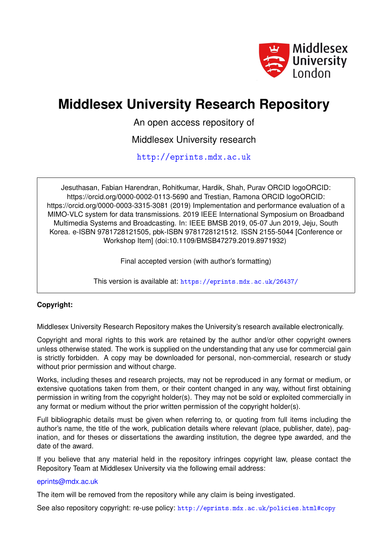

# **Middlesex University Research Repository**

An open access repository of

Middlesex University research

<http://eprints.mdx.ac.uk>

Jesuthasan, Fabian Harendran, Rohitkumar, Hardik, Shah, Purav ORCID logoORCID: https://orcid.org/0000-0002-0113-5690 and Trestian, Ramona ORCID logoORCID: https://orcid.org/0000-0003-3315-3081 (2019) Implementation and performance evaluation of a MIMO-VLC system for data transmissions. 2019 IEEE International Symposium on Broadband Multimedia Systems and Broadcasting. In: IEEE BMSB 2019, 05-07 Jun 2019, Jeju, South Korea. e-ISBN 9781728121505, pbk-ISBN 9781728121512. ISSN 2155-5044 [Conference or Workshop Item] (doi:10.1109/BMSB47279.2019.8971932)

Final accepted version (with author's formatting)

This version is available at: <https://eprints.mdx.ac.uk/26437/>

# **Copyright:**

Middlesex University Research Repository makes the University's research available electronically.

Copyright and moral rights to this work are retained by the author and/or other copyright owners unless otherwise stated. The work is supplied on the understanding that any use for commercial gain is strictly forbidden. A copy may be downloaded for personal, non-commercial, research or study without prior permission and without charge.

Works, including theses and research projects, may not be reproduced in any format or medium, or extensive quotations taken from them, or their content changed in any way, without first obtaining permission in writing from the copyright holder(s). They may not be sold or exploited commercially in any format or medium without the prior written permission of the copyright holder(s).

Full bibliographic details must be given when referring to, or quoting from full items including the author's name, the title of the work, publication details where relevant (place, publisher, date), pagination, and for theses or dissertations the awarding institution, the degree type awarded, and the date of the award.

If you believe that any material held in the repository infringes copyright law, please contact the Repository Team at Middlesex University via the following email address:

# [eprints@mdx.ac.uk](mailto:eprints@mdx.ac.uk)

The item will be removed from the repository while any claim is being investigated.

See also repository copyright: re-use policy: <http://eprints.mdx.ac.uk/policies.html#copy>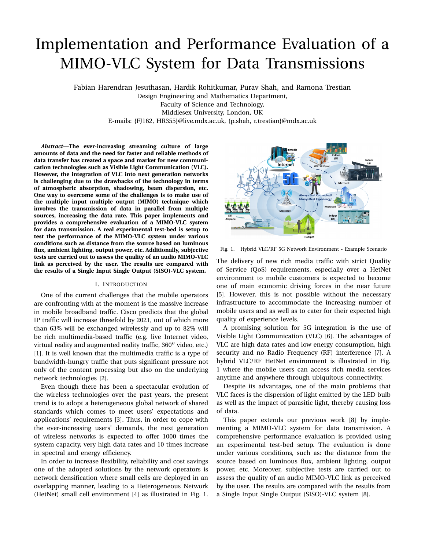# Implementation and Performance Evaluation of a MIMO-VLC System for Data Transmissions

Fabian Harendran Jesuthasan, Hardik Rohitkumar, Purav Shah, and Ramona Trestian

Design Engineering and Mathematics Department,

Faculty of Science and Technology,

Middlesex University, London, UK

E-mails: {FJ162, HR355}@live.mdx.ac.uk, {p.shah, r.trestian}@mdx.ac.uk

*Abstract***—The ever-increasing streaming culture of large amounts of data and the need for faster and reliable methods of data transfer has created a space and market for new communication technologies such as Visible Light Communication (VLC). However, the integration of VLC into next generation networks is challenging due to the drawbacks of the technology in terms of atmospheric absorption, shadowing, beam dispersion, etc. One way to overcome some of the challenges is to make use of the multiple input multiple output (MIMO) technique which involves the transmission of data in parallel from multiple sources, increasing the data rate. This paper implements and provides a comprehensive evaluation of a MIMO-VLC system for data transmission. A real experimental test-bed is setup to test the performance of the MIMO-VLC system under various conditions such as distance from the source based on luminous flux, ambient lighting, output power, etc. Additionally, subjective tests are carried out to assess the quality of an audio MIMO-VLC link as perceived by the user. The results are compared with the results of a Single Input Single Output (SISO)-VLC system.**

#### I. INTRODUCTION

One of the current challenges that the mobile operators are confronting with at the moment is the massive increase in mobile broadband traffic. Cisco predicts that the global IP traffic will increase threefold by 2021, out of which more than 63% will be exchanged wirelessly and up to 82% will be rich multimedia-based traffic (e.g. live Internet video, virtual reality and augmented reality traffic, 360*<sup>o</sup>* video, etc.) [1]. It is well known that the multimedia traffic is a type of bandwidth-hungry traffic that puts significant pressure not only of the content processing but also on the underlying network technologies [2].

Even though there has been a spectacular evolution of the wireless technologies over the past years, the present trend is to adopt a heterogeneous global network of shared standards which comes to meet users' expectations and applications' requirements [3]. Thus, in order to cope with the ever-increasing users' demands, the next generation of wireless networks is expected to offer 1000 times the system capacity, very high data rates and 10 times increase in spectral and energy efficiency.

In order to increase flexibility, reliability and cost savings one of the adopted solutions by the network operators is network densification where small cells are deployed in an overlapping manner, leading to a Heterogeneous Network (HetNet) small cell environment [4] as illustrated in Fig. 1.



Fig. 1. Hybrid VLC/RF 5G Network Environment - Example Scenario

The delivery of new rich media traffic with strict Quality of Service (QoS) requirements, especially over a HetNet environment to mobile customers is expected to become one of main economic driving forces in the near future [5]. However, this is not possible without the necessary infrastructure to accommodate the increasing number of mobile users and as well as to cater for their expected high quality of experience levels.

A promising solution for 5G integration is the use of Visible Light Communication (VLC) [6]. The advantages of VLC are high data rates and low energy consumption, high security and no Radio Frequency (RF) interference [7]. A hybrid VLC/RF HetNet environment is illustrated in Fig. 1 where the mobile users can access rich media services anytime and anywhere through ubiquitous connectivity.

Despite its advantages, one of the main problems that VLC faces is the dispersion of light emitted by the LED bulb as well as the impact of parasitic light, thereby causing loss of data.

This paper extends our previous work [8] by implementing a MIMO-VLC system for data transmission. A comprehensive performance evaluation is provided using an experimental test-bed setup. The evaluation is done under various conditions, such as: the distance from the source based on luminous flux, ambient lighting, output power, etc. Moreover, subjective tests are carried out to assess the quality of an audio MIMO-VLC link as perceived by the user. The results are compared with the results from a Single Input Single Output (SISO)-VLC system [8].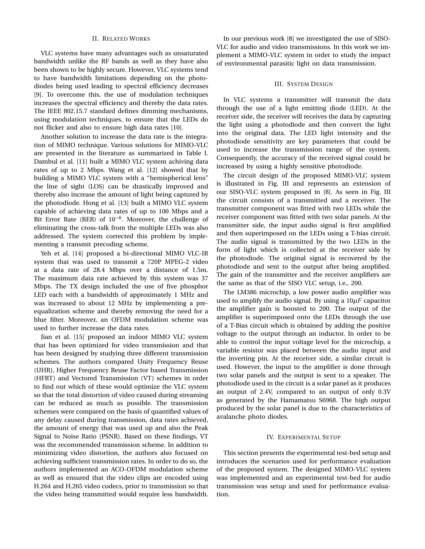#### II. RELATED WORKS

VLC systems have many advantages such as unsaturated bandwidth unlike the RF bands as well as they have also been shown to be highly secure. However, VLC systems tend to have bandwidth limitations depending on the photodiodes being used leading to spectral efficiency decreases [9]. To overcome this, the use of modulation techniques increases the spectral efficiency and thereby the data rates. The IEEE 802.15.7 standard defines dimming mechanisms, using modulation techniques, to ensure that the LEDs do not flicker and also to ensure high data rates [10].

Another solution to increase the data rate is the integration of MIMO technique. Various solutions for MIMO-VLC are presented in the literature as summarized in Table I. Dambul et al. [11] built a MIMO VLC system achiving data rates of up to 2 Mbps. Wang et al. [12] showed that by building a MIMO VLC system with a "hemispherical lens" the line of sight (LOS) can be drastically improved and thereby also increase the amount of light being captured by the photodiode. Hong et al. [13] built a MIMO VLC system capable of achieving data rates of up to 100 Mbps and a Bit Error Rate (BER) of 10−<sup>6</sup> . Moreover, the challenge of eliminating the cross-talk from the multiple LEDs was also addressed. The system corrected this problem by implementing a transmit precoding scheme.

Yeh et al. [14] proposed a bi-directional MIMO VLC-IR system that was used to transmit a 720P MPEG-2 video at a data rate of 28.4 Mbps over a distance of 1.5m. The maximum data rate achieved by this system was 37 Mbps. The TX design included the use of five phosphor LED each with a bandwidth of approximately 1 MHz and was increased to about 12 MHz by implementing a preequalization scheme and thereby removing the need for a blue filter. Moreover, an OFDM modulation scheme was used to further increase the data rates.

Jian et al. [15] proposed an indoor MIMO VLC system that has been optimized for video transmission and that has been designed by studying three different transmission schemes. The authors compared Unity Frequency Reuse (UHR), Higher Frequency Reuse Factor based Transmission (HFRT) and Vectored Transmission (VT) schemes in order to find out which of these would optimize the VLC system so that the total distortion of video caused during streaming can be reduced as much as possible. The transmission schemes were compared on the basis of quantified values of any delay caused during transmission, data rates achieved, the amount of energy that was used up and also the Peak Signal to Noise Ratio (PSNR). Based on these findings, VT was the recommended transmission scheme. In addition to minimizing video distortion, the authors also focused on achieving sufficient transmission rates. In order to do so, the authors implemented an ACO-OFDM modulation scheme as well as ensured that the video clips are encoded using H.264 and H.265 video codecs, prior to transmission so that the video being transmitted would require less bandwidth.

In our previous work [8] we investigated the use of SISO-VLC for audio and video transmissions. In this work we implement a MIMO-VLC system in order to study the impact of environmental parasitic light on data transmission.

### III. SYSTEM DESIGN

In VLC systems a transmitter will transmit the data through the use of a light emitting diode (LED). At the receiver side, the receiver will receives the data by capturing the light using a photodiode and then convert the light into the original data. The LED light intensity and the photodiode sensitivity are key parameters that could be used to increase the transmission range of the system. Consequently, the accuracy of the received signal could be increased by using a highly sensitive photodiode.

The circuit design of the proposed MIMO-VLC system is illustrated in Fig. III and represents an extension of our SISO-VLC system proposed in [8]. As seen in Fig. III the circuit consists of a transmitted and a receiver. The transmitter component was fitted with two LEDs while the receiver component was fitted with two solar panels. At the transmitter side, the input audio signal is first amplified and then superimposed on the LEDs using a T-bias circuit. The audio signal is transmitted by the two LEDs in the form of light which is collected at the receiver side by the photodiode. The original signal is recovered by the photodiode and sent to the output after being amplified. The gain of the transmitter and the receiver amplifiers are the same as that of the SISO VLC setup, i.e., 200.

The LM386 microchip, a low power audio amplifier was used to amplify the audio signal. By using a  $10\mu$ *F* capacitor the amplifier gain is boosted to 200. The output of the amplifier is superimposed onto the LEDs through the use of a T-Bias circuit which is obtained by adding the positive voltage to the output through an inductor. In order to be able to control the input voltage level for the microchip, a variable resistor was placed between the audio input and the inverting pin. At the receiver side, a similar circuit is used. However, the input to the amplifier is done through two solar panels and the output is sent to a speaker. The photodiode used in the circuit is a solar panel as it produces an output of 2.4V, compared to an output of only 0.3V as generated by the Hamamatsu S6968. The high output produced by the solar panel is due to the characteristics of avalanche photo diodes.

#### IV. EXPERIMENTAL SETUP

This section presents the experimental test-bed setup and introduces the scenarios used for performance evaluation of the proposed system. The designed MIMO-VLC system was implemented and an experimental test-bed for audio transmission was setup and used for performance evaluation.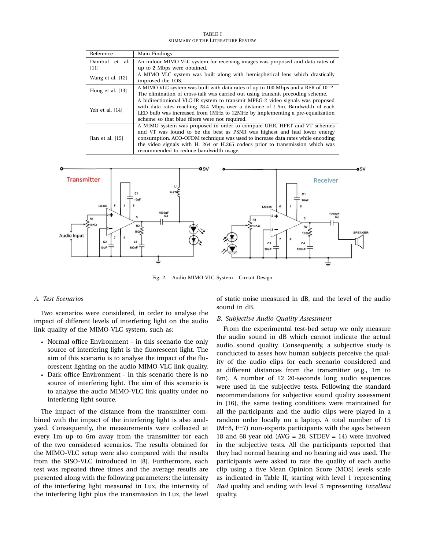TABLE I SUMMARY OF THE LITERATURE REVIEW

| Reference                | Main Findings                                                                                                                                                                                                                                                                                                                                                    |
|--------------------------|------------------------------------------------------------------------------------------------------------------------------------------------------------------------------------------------------------------------------------------------------------------------------------------------------------------------------------------------------------------|
| Dambul<br>et al.<br>[11] | An indoor MIMO VLC system for receiving images was proposed and data rates of<br>up to 2 Mbps were obtained.                                                                                                                                                                                                                                                     |
| Wang et al. [12]         | A MIMO VLC system was built along with hemispherical lens which drastically<br>improved the LOS.                                                                                                                                                                                                                                                                 |
| Hong et al. [13]         | A MIMO VLC system was built with data rates of up to 100 Mbps and a BER of $10^{-6}$ .<br>The elimination of cross-talk was carried out using transmit precoding scheme.                                                                                                                                                                                         |
| Yeh et al. [14]          | A bidirectionional VLC-IR system to transmit MPEG-2 video signals was proposed<br>with data rates reaching 28.4 Mbps over a distance of 1.5m. Bandwidth of each<br>LED bulb was increased from 1MHz to 12MHz by implementing a pre-equalization<br>scheme so that blue filters were not required.                                                                |
| Jian et al. [15]         | A MIMO system was proposed in order to compare UHR, HFRT and VT schemes<br>and VT was found to be the best as PSNR was highest and had lower energy<br>consumption. ACO-OFDM technique was used to increase data rates while encoding<br>the video signals with H. 264 or H.265 codecs prior to transmission which was<br>recommended to reduce bandwidth usage. |



Fig. 2. Audio MIMO VLC System - Circuit Design

#### *A. Test Scenarios*

Two scenarios were considered, in order to analyse the impact of different levels of interfering light on the audio link quality of the MIMO-VLC system, such as:

- Normal office Environment in this scenario the only source of interfering light is the fluorescent light. The aim of this scenario is to analyse the impact of the fluorescent lighting on the audio MIMO-VLC link quality.
- Dark office Environment in this scenario there is no source of interfering light. The aim of this scenario is to analyse the audio MIMO-VLC link quality under no interfering light source.

The impact of the distance from the transmitter combined with the impact of the interfering light is also analysed. Consequently, the measurements were collected at every 1m up to 6m away from the transmitter for each of the two considered scenarios. The results obtained for the MIMO-VLC setup were also compared with the results from the SISO-VLC introduced in [8]. Furthermore, each test was repeated three times and the average results are presented along with the following parameters: the intensity of the interfering light measured in Lux, the internsity of the interfering light plus the transmission in Lux, the level of static noise measured in dB, and the level of the audio sound in dB.

### *B. Subjective Audio Quality Assessment*

From the experimental test-bed setup we only measure the audio sound in dB which cannot indicate the actual audio sound quality. Consequently, a subjective study is conducted to asses how human subjects perceive the quality of the audio clips for each scenario considered and at different distances from the transmitter (e.g., 1m to 6m). A number of 12 20-seconds long audio sequences were used in the subjective tests. Following the standard recommendations for subjective sound quality assessment in [16], the same testing conditions were maintained for all the participants and the audio clips were played in a random order locally on a laptop. A total number of 15 (M=8, F=7) non-experts participants with the ages between 18 and 68 year old (AVG = 28, STDEV = 14) were involved in the subjective tests. All the participants reported that they had normal hearing and no hearing aid was used. The participants were asked to rate the quality of each audio clip using a five Mean Opinion Score (MOS) levels scale as indicated in Table II, starting with level 1 representing *Bad* quality and ending with level 5 representing *Excellent* quality.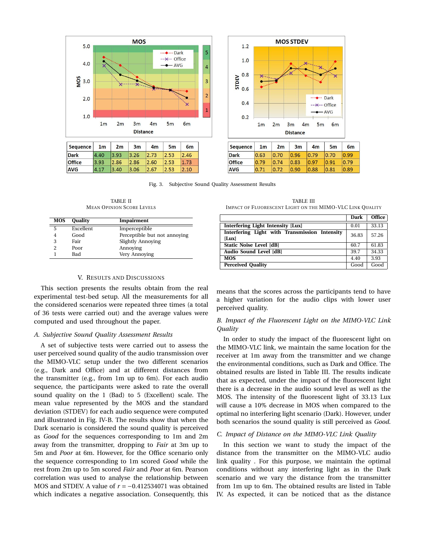



**Office** 0.79 0.74 0.83 0.97  $0.91$ **AVG**  $0.71$  $|0.72|$  $0.90$ 0.88  $0.81$ 

Fig. 3. Subjective Sound Quality Assessment Results

TABLE II MEAN OPINION SCORE LEVELS

|   | <b>MOS Quality</b> | Impairment                   |
|---|--------------------|------------------------------|
| 5 | Excellent          | Imperceptible                |
| 4 | Good               | Perceptible but not annoying |
| 3 | Fair               | <b>Slightly Annoying</b>     |
| 2 | Poor               | Annoving                     |
|   | Bad                | Very Annoying                |

#### V. RESULTS AND DISCUSSIONS

This section presents the results obtain from the real experimental test-bed setup. All the measurements for all the considered scenarios were repeated three times (a total of 36 tests were carried out) and the average values were computed and used throughout the paper.

#### *A. Subjective Sound Quality Assessment Results*

A set of subjective tests were carried out to assess the user perceived sound quality of the audio transmission over the MIMO-VLC setup under the two different scenarios (e.g., Dark and Office) and at different distances from the transmitter (e.g., from 1m up to 6m). For each audio sequence, the participants were asked to rate the overall sound quality on the 1 (Bad) to 5 (Excellent) scale. The mean value represented by the MOS and the standard deviation (STDEV) for each audio sequence were computed and illustrated in Fig. IV-B. The results show that when the Dark scenario is considered the sound quality is perceived as *Good* for the sequences corresponding to 1m and 2m away from the transmitter, dropping to *Fair* at 3m up to 5m and *Poor* at 6m. However, for the Office scenario only the sequence corresponding to 1m scored *Good* while the rest from 2m up to 5m scored *Fair* and *Poor* at 6m. Pearson correlation was used to analyse the relationship between MOS and STDEV. A value of *r* = −0.412534071 was obtained which indicates a negative association. Consequently, this

TABLE III IMPACT OF FLUORESCENT LIGHT ON THE MIMO-VLC LINK QUALITY

0.79

0.89

|                                                        | Dark  | <b>Office</b> |
|--------------------------------------------------------|-------|---------------|
| Interfering Light Intensity [Lux]                      | 0.01  | 33.13         |
| Interfering Light with Transmission Intensity<br>[Lux] | 36.83 | 57.26         |
| Static Noise Level [dB]                                | 60.7  | 61.83         |
| Audio Sound Level [dB]                                 | 39.7  | 34.33         |
| <b>MOS</b>                                             | 4.40  | 3.93          |
| <b>Perceived Quality</b>                               | Good  | Good          |

means that the scores across the participants tend to have a higher variation for the audio clips with lower user perceived quality.

## *B. Impact of the Fluorescent Light on the MIMO-VLC Link Quality*

In order to study the impact of the fluorescent light on the MIMO-VLC link, we maintain the same location for the receiver at 1m away from the transmitter and we change the environmental conditions, such as Dark and Office. The obtained results are listed in Table III. The results indicate that as expected, under the impact of the fluorescent light there is a decrease in the audio sound level as well as the MOS. The intensity of the fluorescent light of 33.13 Lux will cause a 10% decrease in MOS when compared to the optimal no interfering light scenario (Dark). However, under both scenarios the sound quality is still perceived as *Good*.

### *C. Impact of Distance on the MIMO-VLC Link Quality*

In this section we want to study the impact of the distance from the transmitter on the MIMO-VLC audio link quality . For this purpose, we maintain the optimal conditions without any interfering light as in the Dark scenario and we vary the distance from the transmitter from 1m up to 6m. The obtained results are listed in Table IV. As expected, it can be noticed that as the distance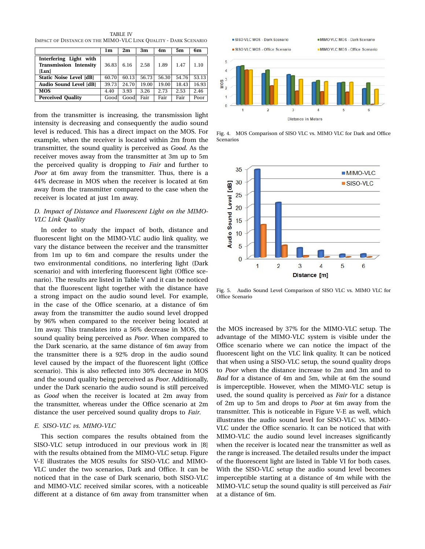TABLE IV IMPACT OF DISTANCE ON THE MIMO-VLC LINK QUALITY - DARK SCENARIO

|                               | 1m    | 2m    | 3m    | 4m    | 5m    | 6m    |
|-------------------------------|-------|-------|-------|-------|-------|-------|
| Interfering Light with        |       |       |       |       |       |       |
| <b>Transmission Intensity</b> | 36.83 | 6.16  | 2.58  | 1.89  | 1.47  | 1.10  |
| [Lux]                         |       |       |       |       |       |       |
| Static Noise Level [dB]       | 60.70 | 60.13 | 56.73 | 56.30 | 54.76 | 53.13 |
| Audio Sound Level [dB]        | 39.73 | 24.70 | 19.00 | 19.00 | 18.43 | 16.93 |
| <b>MOS</b>                    | 4.40  | 3.93  | 3.26  | 2.73  | 2.53  | 2.46  |
| <b>Perceived Quality</b>      | Good  | Good  | Fair  | Fair  | Fair  | Poor  |

from the transmitter is increasing, the transmission light intensity is decreasing and consequently the audio sound level is reduced. This has a direct impact on the MOS. For example, when the receiver is located within 2m from the transmitter, the sound quality is perceived as *Good*. As the receiver moves away from the transmitter at 3m up to 5m the perceived quality is dropping to *Fair* and further to *Poor* at 6m away from the transmitter. Thus, there is a 44% decrease in MOS when the receiver is located at 6m away from the transmitter compared to the case when the receiver is located at just 1m away.

## *D. Impact of Distance and Fluorescent Light on the MIMO-VLC Link Quality*

In order to study the impact of both, distance and fluorescent light on the MIMO-VLC audio link quality, we vary the distance between the receiver and the transmitter from 1m up to 6m and compare the results under the two environmental conditions, no interfering light (Dark scenario) and with interfering fluorescent light (Office scenario). The results are listed in Table V and it can be noticed that the fluorescent light together with the distance have a strong impact on the audio sound level. For example, in the case of the Office scenario, at a distance of 6m away from the transmitter the audio sound level dropped by 96% when compared to the receiver being located at 1m away. This translates into a 56% decrease in MOS, the sound quality being perceived as *Poor*. When compared to the Dark scenario, at the same distance of 6m away from the transmitter there is a 92% drop in the audio sound level caused by the impact of the fluorescent light (Office scenario). This is also reflected into 30% decrease in MOS and the sound quality being perceived as *Poor*. Additionally, under the Dark scenario the audio sound is still perceived as *Good* when the receiver is located at 2m away from the transmitter, whereas under the Office scenario at 2m distance the user perceived sound quality drops to *Fair*.

#### *E. SISO-VLC vs. MIMO-VLC*

This section compares the results obtained from the SISO-VLC setup introduced in our previous work in [8] with the results obtained from the MIMO-VLC setup. Figure V-E illustrates the MOS results for SISO-VLC and MIMO-VLC under the two scenarios, Dark and Office. It can be noticed that in the case of Dark scenario, both SISO-VLC and MIMO-VLC received similar scores, with a noticeable different at a distance of 6m away from transmitter when



Fig. 4. MOS Comparison of SISO VLC vs. MIMO VLC for Dark and Office Scenarios



Fig. 5. Audio Sound Level Comparison of SISO VLC vs. MIMO VLC for Office Scenario

the MOS increased by 37% for the MIMO-VLC setup. The advantage of the MIMO-VLC system is visible under the Office scenario where we can notice the impact of the fluorescent light on the VLC link quality. It can be noticed that when using a SISO-VLC setup, the sound quality drops to *Poor* when the distance increase to 2m and 3m and to *Bad* for a distance of 4m and 5m, while at 6m the sound is imperceptible. However, when the MIMO-VLC setup is used, the sound quality is perceived as *Fair* for a distance of 2m up to 5m and drops to *Poor* at 6m away from the transmitter. This is noticeable in Figure V-E as well, which illustrates the audio sound level for SISO-VLC vs. MIMO-VLC under the Office scenario. It can be noticed that with MIMO-VLC the audio sound level increases significantly when the receiver is located near the transmitter as well as the range is increased. The detailed results under the impact of the fluorescent light are listed in Table VI for both cases. With the SISO-VLC setup the audio sound level becomes imperceptible starting at a distance of 4m while with the MIMO-VLC setup the sound quality is still perceived as *Fair* at a distance of 6m.